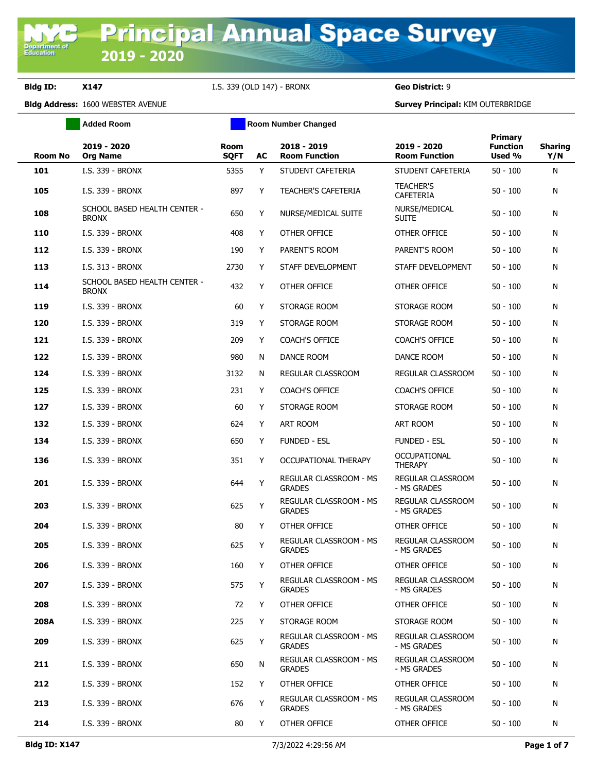**Department of**<br>Education

**Bldg ID: X147** I.S. 339 (OLD 147) - BRONX **Geo District:** 9

|                | <b>Added Room</b>                            | <b>Room Number Changed</b> |    |                                                |                                         |                                             |                       |
|----------------|----------------------------------------------|----------------------------|----|------------------------------------------------|-----------------------------------------|---------------------------------------------|-----------------------|
| <b>Room No</b> | 2019 - 2020<br><b>Org Name</b>               | <b>Room</b><br><b>SQFT</b> | AC | 2018 - 2019<br><b>Room Function</b>            | 2019 - 2020<br><b>Room Function</b>     | <b>Primary</b><br><b>Function</b><br>Used % | <b>Sharing</b><br>Y/N |
| 101            | I.S. 339 - BRONX                             | 5355                       | Y  | STUDENT CAFETERIA                              | STUDENT CAFETERIA                       | $50 - 100$                                  | N                     |
| 105            | I.S. 339 - BRONX                             | 897                        | Y  | <b>TEACHER'S CAFETERIA</b>                     | <b>TEACHER'S</b><br><b>CAFETERIA</b>    | $50 - 100$                                  | N                     |
| 108            | SCHOOL BASED HEALTH CENTER -<br><b>BRONX</b> | 650                        | Y  | NURSE/MEDICAL SUITE                            | NURSE/MEDICAL<br><b>SUITE</b>           | $50 - 100$                                  | N                     |
| 110            | I.S. 339 - BRONX                             | 408                        | Y  | OTHER OFFICE                                   | OTHER OFFICE                            | $50 - 100$                                  | N                     |
| 112            | I.S. 339 - BRONX                             | 190                        | Y  | PARENT'S ROOM                                  | PARENT'S ROOM                           | $50 - 100$                                  | N                     |
| 113            | I.S. 313 - BRONX                             | 2730                       | Y  | STAFF DEVELOPMENT                              | STAFF DEVELOPMENT                       | $50 - 100$                                  | N                     |
| 114            | SCHOOL BASED HEALTH CENTER -<br><b>BRONX</b> | 432                        | Y  | OTHER OFFICE                                   | OTHER OFFICE                            | $50 - 100$                                  | N                     |
| 119            | I.S. 339 - BRONX                             | 60                         | Y  | STORAGE ROOM                                   | STORAGE ROOM                            | $50 - 100$                                  | N                     |
| 120            | I.S. 339 - BRONX                             | 319                        | Y  | STORAGE ROOM                                   | STORAGE ROOM                            | $50 - 100$                                  | N                     |
| 121            | I.S. 339 - BRONX                             | 209                        | Y  | <b>COACH'S OFFICE</b>                          | <b>COACH'S OFFICE</b>                   | $50 - 100$                                  | N                     |
| 122            | I.S. 339 - BRONX                             | 980                        | N  | DANCE ROOM                                     | DANCE ROOM                              | $50 - 100$                                  | N                     |
| 124            | I.S. 339 - BRONX                             | 3132                       | N  | REGULAR CLASSROOM                              | REGULAR CLASSROOM                       | $50 - 100$                                  | N                     |
| 125            | I.S. 339 - BRONX                             | 231                        | Y  | <b>COACH'S OFFICE</b>                          | <b>COACH'S OFFICE</b>                   | $50 - 100$                                  | N                     |
| 127            | I.S. 339 - BRONX                             | 60                         | Y  | STORAGE ROOM                                   | STORAGE ROOM                            | $50 - 100$                                  | N                     |
| 132            | I.S. 339 - BRONX                             | 624                        | Y  | ART ROOM                                       | ART ROOM                                | $50 - 100$                                  | N                     |
| 134            | I.S. 339 - BRONX                             | 650                        | Y  | <b>FUNDED - ESL</b>                            | <b>FUNDED - ESL</b>                     | $50 - 100$                                  | N                     |
| 136            | I.S. 339 - BRONX                             | 351                        | Y  | OCCUPATIONAL THERAPY                           | OCCUPATIONAL<br><b>THERAPY</b>          | $50 - 100$                                  | N                     |
| 201            | I.S. 339 - BRONX                             | 644                        | Y  | REGULAR CLASSROOM - MS<br><b>GRADES</b>        | REGULAR CLASSROOM<br>- MS GRADES        | $50 - 100$                                  | N                     |
| 203            | I.S. 339 - BRONX                             | 625                        | Y  | REGULAR CLASSROOM - MS<br><b>GRADES</b>        | REGULAR CLASSROOM<br>- MS GRADES        | $50 - 100$                                  | N                     |
| 204            | I.S. 339 - BRONX                             | 80                         | Y  | OTHER OFFICE                                   | OTHER OFFICE                            | $50 - 100$                                  | N                     |
| 205            | I.S. 339 - BRONX                             | 625                        | Y  | REGULAR CLASSROOM - MS<br><b>GRADES</b>        | REGULAR CLASSROOM<br>- MS GRADES        | $50 - 100$                                  | N                     |
| 206            | I.S. 339 - BRONX                             | 160                        | Y  | OTHER OFFICE                                   | OTHER OFFICE                            | $50 - 100$                                  | N                     |
| 207            | I.S. 339 - BRONX                             | 575                        | Υ  | <b>REGULAR CLASSROOM - MS</b><br><b>GRADES</b> | REGULAR CLASSROOM<br>- MS GRADES        | $50 - 100$                                  | N                     |
| 208            | I.S. 339 - BRONX                             | 72                         | Y  | OTHER OFFICE                                   | OTHER OFFICE                            | $50 - 100$                                  | N                     |
| 208A           | I.S. 339 - BRONX                             | 225                        | Y  | STORAGE ROOM                                   | STORAGE ROOM                            | $50 - 100$                                  | N                     |
| 209            | I.S. 339 - BRONX                             | 625                        | Y  | REGULAR CLASSROOM - MS<br><b>GRADES</b>        | <b>REGULAR CLASSROOM</b><br>- MS GRADES | $50 - 100$                                  | N                     |
| 211            | I.S. 339 - BRONX                             | 650                        | N  | <b>REGULAR CLASSROOM - MS</b><br><b>GRADES</b> | <b>REGULAR CLASSROOM</b><br>- MS GRADES | $50 - 100$                                  | N                     |
| 212            | I.S. 339 - BRONX                             | 152                        | Y  | OTHER OFFICE                                   | OTHER OFFICE                            | $50 - 100$                                  | N                     |
| 213            | I.S. 339 - BRONX                             | 676                        | Y  | REGULAR CLASSROOM - MS<br><b>GRADES</b>        | REGULAR CLASSROOM<br>- MS GRADES        | $50 - 100$                                  | N                     |
| 214            | I.S. 339 - BRONX                             | 80                         | Y  | OTHER OFFICE                                   | OTHER OFFICE                            | $50 - 100$                                  | N                     |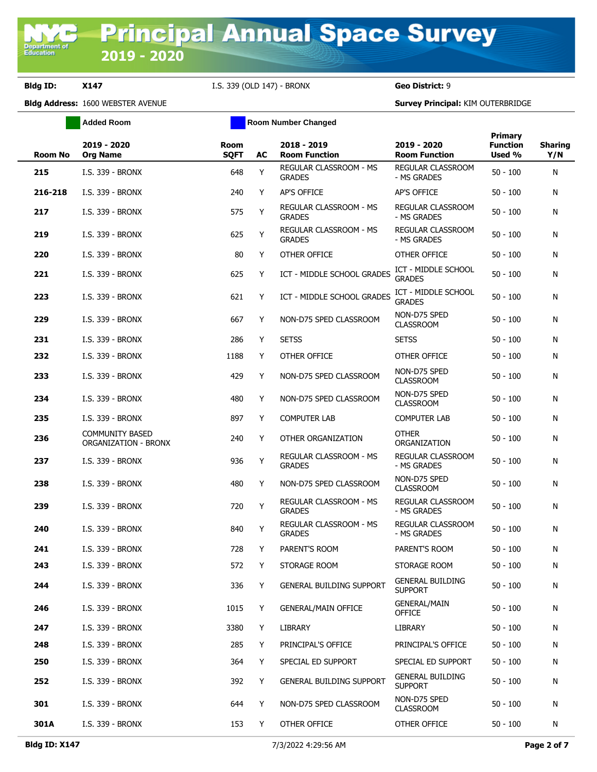|         | <b>Added Room</b>                              |                     |    | <b>Room Number Changed</b>                     |                                           |                                             |                       |
|---------|------------------------------------------------|---------------------|----|------------------------------------------------|-------------------------------------------|---------------------------------------------|-----------------------|
| Room No | 2019 - 2020<br><b>Org Name</b>                 | Room<br><b>SQFT</b> | AC | 2018 - 2019<br><b>Room Function</b>            | 2019 - 2020<br><b>Room Function</b>       | <b>Primary</b><br><b>Function</b><br>Used % | <b>Sharing</b><br>Y/N |
| 215     | I.S. 339 - BRONX                               | 648                 | Y  | REGULAR CLASSROOM - MS<br><b>GRADES</b>        | REGULAR CLASSROOM<br>- MS GRADES          | $50 - 100$                                  | N                     |
| 216-218 | I.S. 339 - BRONX                               | 240                 | Y  | AP'S OFFICE                                    | AP'S OFFICE                               | $50 - 100$                                  | N                     |
| 217     | I.S. 339 - BRONX                               | 575                 | Υ  | REGULAR CLASSROOM - MS<br><b>GRADES</b>        | REGULAR CLASSROOM<br>- MS GRADES          | $50 - 100$                                  | N                     |
| 219     | I.S. 339 - BRONX                               | 625                 | Υ  | REGULAR CLASSROOM - MS<br><b>GRADES</b>        | REGULAR CLASSROOM<br>- MS GRADES          | $50 - 100$                                  | N                     |
| 220     | I.S. 339 - BRONX                               | 80                  | Y  | OTHER OFFICE                                   | OTHER OFFICE                              | $50 - 100$                                  | N                     |
| 221     | I.S. 339 - BRONX                               | 625                 | Y  | ICT - MIDDLE SCHOOL GRADES                     | ICT - MIDDLE SCHOOL<br><b>GRADES</b>      | $50 - 100$                                  | N                     |
| 223     | I.S. 339 - BRONX                               | 621                 | Y  | ICT - MIDDLE SCHOOL GRADES                     | ICT - MIDDLE SCHOOL<br><b>GRADES</b>      | $50 - 100$                                  | N                     |
| 229     | I.S. 339 - BRONX                               | 667                 | Y  | NON-D75 SPED CLASSROOM                         | NON-D75 SPED<br><b>CLASSROOM</b>          | $50 - 100$                                  | N                     |
| 231     | I.S. 339 - BRONX                               | 286                 | Y  | <b>SETSS</b>                                   | <b>SETSS</b>                              | $50 - 100$                                  | N                     |
| 232     | I.S. 339 - BRONX                               | 1188                | Y  | OTHER OFFICE                                   | OTHER OFFICE                              | $50 - 100$                                  | N                     |
| 233     | I.S. 339 - BRONX                               | 429                 | Y  | NON-D75 SPED CLASSROOM                         | NON-D75 SPED<br><b>CLASSROOM</b>          | $50 - 100$                                  | N                     |
| 234     | I.S. 339 - BRONX                               | 480                 | Y  | NON-D75 SPED CLASSROOM                         | NON-D75 SPED<br><b>CLASSROOM</b>          | $50 - 100$                                  | N                     |
| 235     | I.S. 339 - BRONX                               | 897                 | Y  | <b>COMPUTER LAB</b>                            | <b>COMPUTER LAB</b>                       | $50 - 100$                                  | N                     |
| 236     | <b>COMMUNITY BASED</b><br>ORGANIZATION - BRONX | 240                 | Y  | OTHER ORGANIZATION                             | <b>OTHER</b><br>ORGANIZATION              | $50 - 100$                                  | N                     |
| 237     | I.S. 339 - BRONX                               | 936                 | Y  | REGULAR CLASSROOM - MS<br><b>GRADES</b>        | REGULAR CLASSROOM<br>- MS GRADES          | $50 - 100$                                  | N                     |
| 238     | I.S. 339 - BRONX                               | 480                 | Y  | NON-D75 SPED CLASSROOM                         | NON-D75 SPED<br><b>CLASSROOM</b>          | $50 - 100$                                  | N                     |
| 239     | I.S. 339 - BRONX                               | 720                 | Y  | REGULAR CLASSROOM - MS<br><b>GRADES</b>        | REGULAR CLASSROOM<br>- MS GRADES          | $50 - 100$                                  | N                     |
| 240     | I.S. 339 - BRONX                               | 840                 | Y  | <b>REGULAR CLASSROOM - MS</b><br><b>GRADES</b> | <b>REGULAR CLASSROOM</b><br>- MS GRADES   | $50 - 100$                                  | N                     |
| 241     | I.S. 339 - BRONX                               | 728                 | Y  | PARENT'S ROOM                                  | PARENT'S ROOM                             | $50 - 100$                                  | N                     |
| 243     | I.S. 339 - BRONX                               | 572                 | Y  | STORAGE ROOM                                   | STORAGE ROOM                              | $50 - 100$                                  | N                     |
| 244     | I.S. 339 - BRONX                               | 336                 | Y  | <b>GENERAL BUILDING SUPPORT</b>                | <b>GENERAL BUILDING</b><br><b>SUPPORT</b> | $50 - 100$                                  | N                     |
| 246     | I.S. 339 - BRONX                               | 1015                | Y  | <b>GENERAL/MAIN OFFICE</b>                     | <b>GENERAL/MAIN</b><br><b>OFFICE</b>      | $50 - 100$                                  | N                     |
| 247     | I.S. 339 - BRONX                               | 3380                | Y  | LIBRARY                                        | LIBRARY                                   | $50 - 100$                                  | N                     |
| 248     | I.S. 339 - BRONX                               | 285                 | Y  | PRINCIPAL'S OFFICE                             | PRINCIPAL'S OFFICE                        | $50 - 100$                                  | N                     |
| 250     | I.S. 339 - BRONX                               | 364                 | Y  | SPECIAL ED SUPPORT                             | SPECIAL ED SUPPORT                        | $50 - 100$                                  | N                     |
| 252     | I.S. 339 - BRONX                               | 392                 | Y  | <b>GENERAL BUILDING SUPPORT</b>                | <b>GENERAL BUILDING</b><br><b>SUPPORT</b> | $50 - 100$                                  | N                     |
| 301     | I.S. 339 - BRONX                               | 644                 | Y  | NON-D75 SPED CLASSROOM                         | NON-D75 SPED<br><b>CLASSROOM</b>          | $50 - 100$                                  | N                     |
| 301A    | I.S. 339 - BRONX                               | 153                 | Y  | OTHER OFFICE                                   | OTHER OFFICE                              | $50 - 100$                                  | N                     |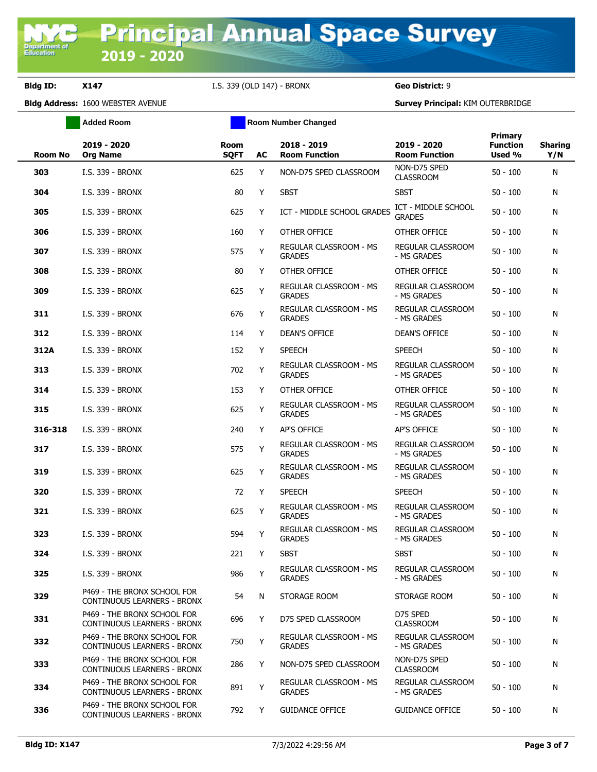**Added Room Room Room Number Changed** 

| <b>Room No</b> | 2019 - 2020<br><b>Org Name</b>                             | <b>Room</b><br><b>SQFT</b> | AC | 2018 - 2019<br><b>Room Function</b>     | 2019 - 2020<br><b>Room Function</b>     | <b>Primary</b><br><b>Function</b><br>Used % | <b>Sharing</b><br>Y/N |
|----------------|------------------------------------------------------------|----------------------------|----|-----------------------------------------|-----------------------------------------|---------------------------------------------|-----------------------|
| 303            | I.S. 339 - BRONX                                           | 625                        | Y  | NON-D75 SPED CLASSROOM                  | NON-D75 SPED<br><b>CLASSROOM</b>        | $50 - 100$                                  | N                     |
| 304            | I.S. 339 - BRONX                                           | 80                         | Y  | <b>SBST</b>                             | <b>SBST</b>                             | $50 - 100$                                  | N                     |
| 305            | I.S. 339 - BRONX                                           | 625                        | Y  | ICT - MIDDLE SCHOOL GRADES              | ICT - MIDDLE SCHOOL<br><b>GRADES</b>    | $50 - 100$                                  | N                     |
| 306            | I.S. 339 - BRONX                                           | 160                        | Y  | OTHER OFFICE                            | OTHER OFFICE                            | $50 - 100$                                  | N                     |
| 307            | I.S. 339 - BRONX                                           | 575                        | Υ  | REGULAR CLASSROOM - MS<br><b>GRADES</b> | REGULAR CLASSROOM<br>- MS GRADES        | $50 - 100$                                  | N                     |
| 308            | I.S. 339 - BRONX                                           | 80                         | Y  | OTHER OFFICE                            | OTHER OFFICE                            | $50 - 100$                                  | N                     |
| 309            | I.S. 339 - BRONX                                           | 625                        | Υ  | REGULAR CLASSROOM - MS<br><b>GRADES</b> | REGULAR CLASSROOM<br>- MS GRADES        | $50 - 100$                                  | N                     |
| 311            | I.S. 339 - BRONX                                           | 676                        | Υ  | REGULAR CLASSROOM - MS<br><b>GRADES</b> | REGULAR CLASSROOM<br>- MS GRADES        | $50 - 100$                                  | N                     |
| 312            | I.S. 339 - BRONX                                           | 114                        | Y  | <b>DEAN'S OFFICE</b>                    | DEAN'S OFFICE                           | $50 - 100$                                  | N                     |
| 312A           | I.S. 339 - BRONX                                           | 152                        | Y  | <b>SPEECH</b>                           | <b>SPEECH</b>                           | $50 - 100$                                  | N                     |
| 313            | I.S. 339 - BRONX                                           | 702                        | Y  | REGULAR CLASSROOM - MS<br><b>GRADES</b> | REGULAR CLASSROOM<br>- MS GRADES        | $50 - 100$                                  | N                     |
| 314            | I.S. 339 - BRONX                                           | 153                        | Y  | OTHER OFFICE                            | OTHER OFFICE                            | $50 - 100$                                  | N                     |
| 315            | I.S. 339 - BRONX                                           | 625                        | Υ  | REGULAR CLASSROOM - MS<br><b>GRADES</b> | REGULAR CLASSROOM<br>- MS GRADES        | $50 - 100$                                  | N                     |
| 316-318        | I.S. 339 - BRONX                                           | 240                        | Y  | AP'S OFFICE                             | AP'S OFFICE                             | $50 - 100$                                  | N                     |
| 317            | I.S. 339 - BRONX                                           | 575                        | Υ  | REGULAR CLASSROOM - MS<br><b>GRADES</b> | REGULAR CLASSROOM<br>- MS GRADES        | $50 - 100$                                  | N                     |
| 319            | I.S. 339 - BRONX                                           | 625                        | Υ  | REGULAR CLASSROOM - MS<br><b>GRADES</b> | REGULAR CLASSROOM<br>- MS GRADES        | $50 - 100$                                  | N                     |
| 320            | I.S. 339 - BRONX                                           | 72                         | Y  | <b>SPEECH</b>                           | <b>SPEECH</b>                           | $50 - 100$                                  | N                     |
| 321            | I.S. 339 - BRONX                                           | 625                        | Y  | REGULAR CLASSROOM - MS<br><b>GRADES</b> | <b>REGULAR CLASSROOM</b><br>- MS GRADES | $50 - 100$                                  | N                     |
| 323            | I.S. 339 - BRONX                                           | 594                        | Υ  | REGULAR CLASSROOM - MS<br><b>GRADES</b> | REGULAR CLASSROOM<br>- MS GRADES        | $50 - 100$                                  | N                     |
| 324            | I.S. 339 - BRONX                                           | 221                        | Y  | <b>SBST</b>                             | <b>SBST</b>                             | $50 - 100$                                  | N                     |
| 325            | I.S. 339 - BRONX                                           | 986                        | Y  | REGULAR CLASSROOM - MS<br><b>GRADES</b> | REGULAR CLASSROOM<br>- MS GRADES        | $50 - 100$                                  | N                     |
| 329            | P469 - THE BRONX SCHOOL FOR<br>CONTINUOUS LEARNERS - BRONX | 54                         | N  | STORAGE ROOM                            | STORAGE ROOM                            | $50 - 100$                                  | N                     |
| 331            | P469 - THE BRONX SCHOOL FOR<br>CONTINUOUS LEARNERS - BRONX | 696                        | Y  | D75 SPED CLASSROOM                      | D75 SPED<br><b>CLASSROOM</b>            | $50 - 100$                                  | N                     |
| 332            | P469 - THE BRONX SCHOOL FOR<br>CONTINUOUS LEARNERS - BRONX | 750                        | Y  | REGULAR CLASSROOM - MS<br><b>GRADES</b> | REGULAR CLASSROOM<br>- MS GRADES        | $50 - 100$                                  | N                     |
| 333            | P469 - THE BRONX SCHOOL FOR<br>CONTINUOUS LEARNERS - BRONX | 286                        | Y  | NON-D75 SPED CLASSROOM                  | NON-D75 SPED<br><b>CLASSROOM</b>        | $50 - 100$                                  | N                     |
| 334            | P469 - THE BRONX SCHOOL FOR<br>CONTINUOUS LEARNERS - BRONX | 891                        | Y  | REGULAR CLASSROOM - MS<br><b>GRADES</b> | REGULAR CLASSROOM<br>- MS GRADES        | $50 - 100$                                  | N                     |
| 336            | P469 - THE BRONX SCHOOL FOR<br>CONTINUOUS LEARNERS - BRONX | 792                        | Y  | <b>GUIDANCE OFFICE</b>                  | <b>GUIDANCE OFFICE</b>                  | $50 - 100$                                  | N                     |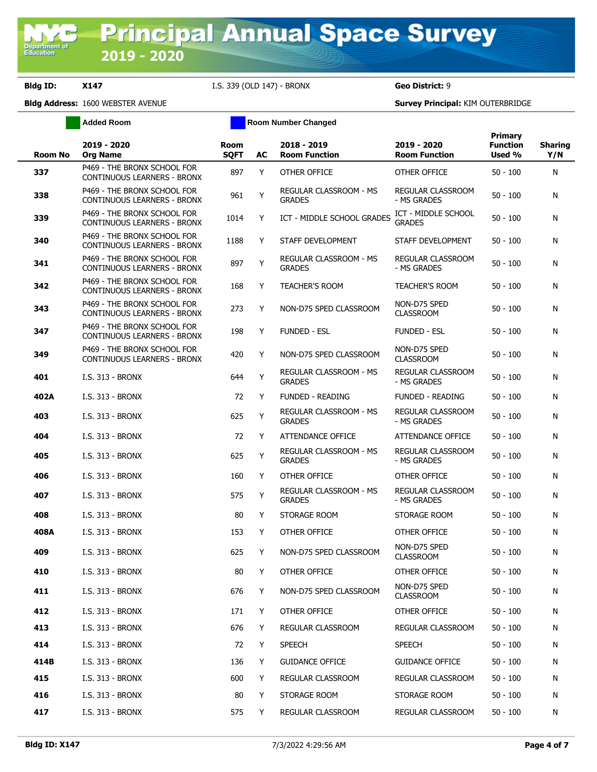|                | <b>Added Room</b>                                                 |                            |    | <b>Room Number Changed</b>              |                                         |                                      |                       |
|----------------|-------------------------------------------------------------------|----------------------------|----|-----------------------------------------|-----------------------------------------|--------------------------------------|-----------------------|
| <b>Room No</b> | 2019 - 2020<br><b>Org Name</b>                                    | <b>Room</b><br><b>SQFT</b> | AC | 2018 - 2019<br><b>Room Function</b>     | 2019 - 2020<br><b>Room Function</b>     | Primary<br><b>Function</b><br>Used % | <b>Sharing</b><br>Y/N |
| 337            | P469 - THE BRONX SCHOOL FOR<br><b>CONTINUOUS LEARNERS - BRONX</b> | 897                        | Y  | OTHER OFFICE                            | OTHER OFFICE                            | $50 - 100$                           | N                     |
| 338            | P469 - THE BRONX SCHOOL FOR<br><b>CONTINUOUS LEARNERS - BRONX</b> | 961                        | Y  | REGULAR CLASSROOM - MS<br><b>GRADES</b> | REGULAR CLASSROOM<br>- MS GRADES        | $50 - 100$                           | N                     |
| 339            | P469 - THE BRONX SCHOOL FOR<br><b>CONTINUOUS LEARNERS - BRONX</b> | 1014                       | Y  | ICT - MIDDLE SCHOOL GRADES              | ICT - MIDDLE SCHOOL<br><b>GRADES</b>    | $50 - 100$                           | N                     |
| 340            | P469 - THE BRONX SCHOOL FOR<br><b>CONTINUOUS LEARNERS - BRONX</b> | 1188                       | Y  | STAFF DEVELOPMENT                       | STAFF DEVELOPMENT                       | $50 - 100$                           | N                     |
| 341            | P469 - THE BRONX SCHOOL FOR<br>CONTINUOUS LEARNERS - BRONX        | 897                        | Y  | REGULAR CLASSROOM - MS<br><b>GRADES</b> | REGULAR CLASSROOM<br>- MS GRADES        | $50 - 100$                           | N                     |
| 342            | P469 - THE BRONX SCHOOL FOR<br>CONTINUOUS LEARNERS - BRONX        | 168                        | Y  | <b>TEACHER'S ROOM</b>                   | TEACHER'S ROOM                          | $50 - 100$                           | N                     |
| 343            | P469 - THE BRONX SCHOOL FOR<br>CONTINUOUS LEARNERS - BRONX        | 273                        | Y  | NON-D75 SPED CLASSROOM                  | NON-D75 SPED<br><b>CLASSROOM</b>        | $50 - 100$                           | N                     |
| 347            | P469 - THE BRONX SCHOOL FOR<br>CONTINUOUS LEARNERS - BRONX        | 198                        | Y  | <b>FUNDED - ESL</b>                     | <b>FUNDED - ESL</b>                     | $50 - 100$                           | N                     |
| 349            | P469 - THE BRONX SCHOOL FOR<br><b>CONTINUOUS LEARNERS - BRONX</b> | 420                        | Y  | NON-D75 SPED CLASSROOM                  | NON-D75 SPED<br><b>CLASSROOM</b>        | $50 - 100$                           | N                     |
| 401            | I.S. 313 - BRONX                                                  | 644                        | Y  | REGULAR CLASSROOM - MS<br><b>GRADES</b> | <b>REGULAR CLASSROOM</b><br>- MS GRADES | $50 - 100$                           | N                     |
| 402A           | I.S. 313 - BRONX                                                  | 72                         | Y  | <b>FUNDED - READING</b>                 | <b>FUNDED - READING</b>                 | $50 - 100$                           | N                     |
| 403            | I.S. 313 - BRONX                                                  | 625                        | Y  | REGULAR CLASSROOM - MS<br><b>GRADES</b> | REGULAR CLASSROOM<br>- MS GRADES        | $50 - 100$                           | N                     |
| 404            | I.S. 313 - BRONX                                                  | 72                         | Y  | <b>ATTENDANCE OFFICE</b>                | ATTENDANCE OFFICE                       | $50 - 100$                           | N                     |
| 405            | I.S. 313 - BRONX                                                  | 625                        | Y  | REGULAR CLASSROOM - MS<br><b>GRADES</b> | REGULAR CLASSROOM<br>- MS GRADES        | $50 - 100$                           | N                     |
| 406            | I.S. 313 - BRONX                                                  | 160                        | Y  | OTHER OFFICE                            | OTHER OFFICE                            | $50 - 100$                           | N                     |
| 407            | I.S. 313 - BRONX                                                  | 575                        | Y  | REGULAR CLASSROOM - MS<br><b>GRADES</b> | REGULAR CLASSROOM<br>- MS GRADES        | $50 - 100$                           | N                     |
| 408            | I.S. 313 - BRONX                                                  | 80                         | Y  | STORAGE ROOM                            | STORAGE ROOM                            | $50 - 100$                           | N                     |
| 408A           | I.S. 313 - BRONX                                                  | 153                        | Y  | OTHER OFFICE                            | OTHER OFFICE                            | $50 - 100$                           | N                     |
| 409            | I.S. 313 - BRONX                                                  | 625                        | Y  | NON-D75 SPED CLASSROOM                  | NON-D75 SPED<br><b>CLASSROOM</b>        | $50 - 100$                           | N                     |
| 410            | I.S. 313 - BRONX                                                  | 80                         | Y  | OTHER OFFICE                            | OTHER OFFICE                            | $50 - 100$                           | N                     |
| 411            | I.S. 313 - BRONX                                                  | 676                        | Y  | NON-D75 SPED CLASSROOM                  | NON-D75 SPED<br><b>CLASSROOM</b>        | $50 - 100$                           | N                     |
| 412            | I.S. 313 - BRONX                                                  | 171                        | Y  | OTHER OFFICE                            | OTHER OFFICE                            | $50 - 100$                           | N                     |
| 413            | I.S. 313 - BRONX                                                  | 676                        | Y  | REGULAR CLASSROOM                       | REGULAR CLASSROOM                       | $50 - 100$                           | N                     |
| 414            | I.S. 313 - BRONX                                                  | 72                         | Y  | <b>SPEECH</b>                           | SPEECH                                  | $50 - 100$                           | N                     |
| 414B           | I.S. 313 - BRONX                                                  | 136                        | Y  | <b>GUIDANCE OFFICE</b>                  | <b>GUIDANCE OFFICE</b>                  | $50 - 100$                           | N                     |
| 415            | I.S. 313 - BRONX                                                  | 600                        | Y  | REGULAR CLASSROOM                       | REGULAR CLASSROOM                       | $50 - 100$                           | N                     |
| 416            | I.S. 313 - BRONX                                                  | 80                         | Y  | STORAGE ROOM                            | STORAGE ROOM                            | $50 - 100$                           | N                     |
| 417            | I.S. 313 - BRONX                                                  | 575                        | Y  | REGULAR CLASSROOM                       | REGULAR CLASSROOM                       | $50 - 100$                           | N                     |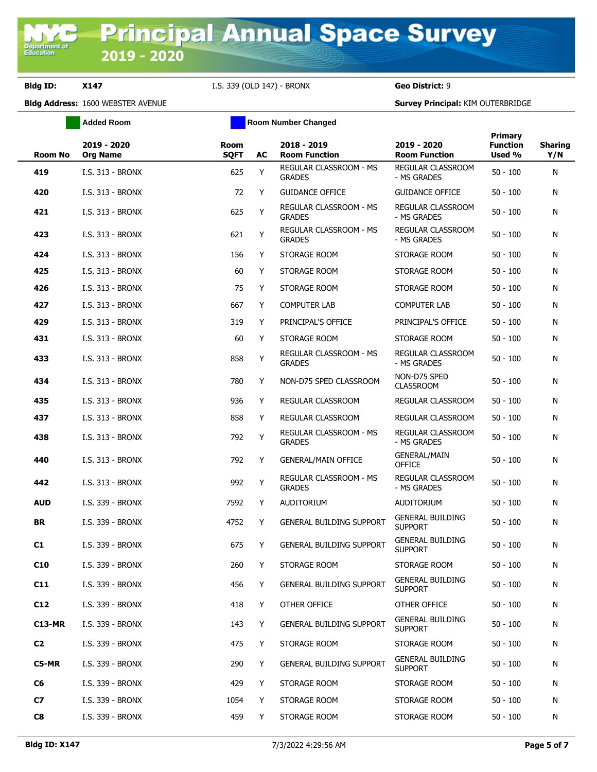**Added Room Room Room Number Changed** 

| <b>Room No</b> | 2019 - 2020<br><b>Org Name</b> | <b>Room</b><br><b>SQFT</b> | AC  | 2018 - 2019<br><b>Room Function</b>     | 2019 - 2020<br><b>Room Function</b>       | Primary<br><b>Function</b><br>Used % | <b>Sharing</b><br>Y/N |
|----------------|--------------------------------|----------------------------|-----|-----------------------------------------|-------------------------------------------|--------------------------------------|-----------------------|
| 419            | I.S. 313 - BRONX               | 625                        | Y   | REGULAR CLASSROOM - MS<br><b>GRADES</b> | REGULAR CLASSROOM<br>- MS GRADES          | $50 - 100$                           | N                     |
| 420            | I.S. 313 - BRONX               | 72                         | Y   | <b>GUIDANCE OFFICE</b>                  | <b>GUIDANCE OFFICE</b>                    | $50 - 100$                           | N                     |
| 421            | I.S. 313 - BRONX               | 625                        | Y   | REGULAR CLASSROOM - MS<br><b>GRADES</b> | REGULAR CLASSROOM<br>- MS GRADES          | $50 - 100$                           | N                     |
| 423            | I.S. 313 - BRONX               | 621                        | Y   | REGULAR CLASSROOM - MS<br><b>GRADES</b> | <b>REGULAR CLASSROOM</b><br>- MS GRADES   | $50 - 100$                           | N                     |
| 424            | I.S. 313 - BRONX               | 156                        | Y   | STORAGE ROOM                            | STORAGE ROOM                              | $50 - 100$                           | N                     |
| 425            | I.S. 313 - BRONX               | 60                         | Y   | STORAGE ROOM                            | STORAGE ROOM                              | 50 - 100                             | N                     |
| 426            | I.S. 313 - BRONX               | 75                         | Y   | STORAGE ROOM                            | STORAGE ROOM                              | $50 - 100$                           | N                     |
| 427            | I.S. 313 - BRONX               | 667                        | Y   | <b>COMPUTER LAB</b>                     | <b>COMPUTER LAB</b>                       | $50 - 100$                           | N                     |
| 429            | I.S. 313 - BRONX               | 319                        | Y   | PRINCIPAL'S OFFICE                      | PRINCIPAL'S OFFICE                        | $50 - 100$                           | N                     |
| 431            | I.S. 313 - BRONX               | 60                         | Y   | STORAGE ROOM                            | STORAGE ROOM                              | $50 - 100$                           | N                     |
| 433            | I.S. 313 - BRONX               | 858                        | Υ   | REGULAR CLASSROOM - MS<br><b>GRADES</b> | <b>REGULAR CLASSROOM</b><br>- MS GRADES   | $50 - 100$                           | N                     |
| 434            | I.S. 313 - BRONX               | 780                        | Y   | NON-D75 SPED CLASSROOM                  | NON-D75 SPED<br><b>CLASSROOM</b>          | $50 - 100$                           | N                     |
| 435            | I.S. 313 - BRONX               | 936                        | Y   | REGULAR CLASSROOM                       | <b>REGULAR CLASSROOM</b>                  | $50 - 100$                           | N                     |
| 437            | I.S. 313 - BRONX               | 858                        | Y   | REGULAR CLASSROOM                       | REGULAR CLASSROOM                         | $50 - 100$                           | N                     |
| 438            | I.S. 313 - BRONX               | 792                        | Υ   | REGULAR CLASSROOM - MS<br><b>GRADES</b> | REGULAR CLASSROOM<br>- MS GRADES          | $50 - 100$                           | N                     |
| 440            | I.S. 313 - BRONX               | 792                        | Y   | <b>GENERAL/MAIN OFFICE</b>              | <b>GENERAL/MAIN</b><br><b>OFFICE</b>      | $50 - 100$                           | N                     |
| 442            | I.S. 313 - BRONX               | 992                        | Υ   | REGULAR CLASSROOM - MS<br><b>GRADES</b> | REGULAR CLASSROOM<br>- MS GRADES          | $50 - 100$                           | N                     |
| <b>AUD</b>     | I.S. 339 - BRONX               | 7592                       | Y   | <b>AUDITORIUM</b>                       | AUDITORIUM                                | $50 - 100$                           | N                     |
| <b>BR</b>      | I.S. 339 - BRONX               | 4752                       | Y   | <b>GENERAL BUILDING SUPPORT</b>         | <b>GENERAL BUILDING</b><br><b>SUPPORT</b> | $50 - 100$                           | N                     |
| C1             | I.S. 339 - BRONX               | 675                        | Y   | <b>GENERAL BUILDING SUPPORT</b>         | <b>GENERAL BUILDING</b><br><b>SUPPORT</b> | $50 - 100$                           | N                     |
| C10            | I.S. 339 - BRONX               | 260                        | Y - | STORAGE ROOM                            | STORAGE ROOM                              | $50 - 100$                           | N                     |
| C11            | I.S. 339 - BRONX               | 456                        | Y   | <b>GENERAL BUILDING SUPPORT</b>         | <b>GENERAL BUILDING</b><br><b>SUPPORT</b> | $50 - 100$                           | N                     |
| C12            | I.S. 339 - BRONX               | 418                        | Y   | OTHER OFFICE                            | OTHER OFFICE                              | $50 - 100$                           | N                     |
| <b>C13-MR</b>  | I.S. 339 - BRONX               | 143                        | Y   | <b>GENERAL BUILDING SUPPORT</b>         | <b>GENERAL BUILDING</b><br><b>SUPPORT</b> | $50 - 100$                           | N                     |
| C <sub>2</sub> | I.S. 339 - BRONX               | 475                        | Y   | STORAGE ROOM                            | STORAGE ROOM                              | $50 - 100$                           | N                     |
| C5-MR          | I.S. 339 - BRONX               | 290                        | Y   | <b>GENERAL BUILDING SUPPORT</b>         | <b>GENERAL BUILDING</b><br><b>SUPPORT</b> | $50 - 100$                           | N                     |
| C6             | I.S. 339 - BRONX               | 429                        | Y   | STORAGE ROOM                            | STORAGE ROOM                              | $50 - 100$                           | N                     |
| C <sub>7</sub> | I.S. 339 - BRONX               | 1054                       | Y   | STORAGE ROOM                            | STORAGE ROOM                              | $50 - 100$                           | N                     |
| C8             | I.S. 339 - BRONX               | 459                        | Y   | STORAGE ROOM                            | STORAGE ROOM                              | $50 - 100$                           | N                     |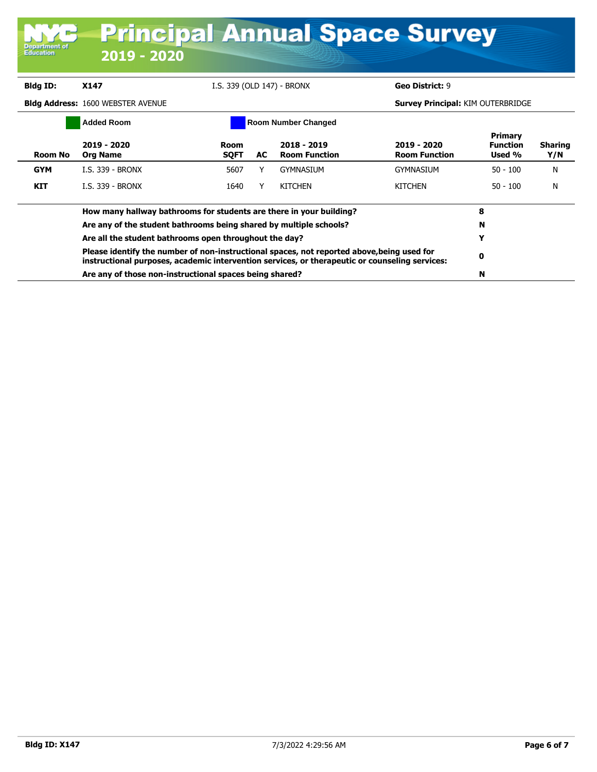| <b>Principal Annual Space Survey</b> |                                                                                                                                                                                              |                            |    |                                     |                                          |                                      |                       |
|--------------------------------------|----------------------------------------------------------------------------------------------------------------------------------------------------------------------------------------------|----------------------------|----|-------------------------------------|------------------------------------------|--------------------------------------|-----------------------|
| Department of<br>Education           | 2019 - 2020                                                                                                                                                                                  |                            |    |                                     |                                          |                                      |                       |
| <b>Bldg ID:</b>                      | X147                                                                                                                                                                                         | I.S. 339 (OLD 147) - BRONX |    |                                     | Geo District: 9                          |                                      |                       |
|                                      | <b>Bidg Address: 1600 WEBSTER AVENUE</b>                                                                                                                                                     |                            |    |                                     | <b>Survey Principal: KIM OUTERBRIDGE</b> |                                      |                       |
|                                      | <b>Added Room</b>                                                                                                                                                                            |                            |    | <b>Room Number Changed</b>          |                                          |                                      |                       |
| <b>Room No</b>                       | 2019 - 2020<br><b>Org Name</b>                                                                                                                                                               | Room<br><b>SQFT</b>        | AC | 2018 - 2019<br><b>Room Function</b> | 2019 - 2020<br><b>Room Function</b>      | Primary<br><b>Function</b><br>Used % | <b>Sharing</b><br>Y/N |
| <b>GYM</b>                           | I.S. 339 - BRONX                                                                                                                                                                             | 5607                       | Y  | <b>GYMNASIUM</b>                    | <b>GYMNASIUM</b>                         | $50 - 100$                           | N                     |
| <b>KIT</b>                           | <b>I.S. 339 - BRONX</b>                                                                                                                                                                      | 1640                       | Y  | <b>KITCHEN</b>                      | <b>KITCHEN</b>                           | $50 - 100$                           | N                     |
|                                      | How many hallway bathrooms for students are there in your building?                                                                                                                          |                            |    |                                     |                                          | 8                                    |                       |
|                                      | Are any of the student bathrooms being shared by multiple schools?                                                                                                                           |                            |    |                                     |                                          | N                                    |                       |
|                                      | Are all the student bathrooms open throughout the day?                                                                                                                                       |                            |    |                                     |                                          | Y                                    |                       |
|                                      | Please identify the number of non-instructional spaces, not reported above, being used for<br>instructional purposes, academic intervention services, or therapeutic or counseling services: |                            |    |                                     |                                          | 0                                    |                       |
|                                      | Are any of those non-instructional spaces being shared?                                                                                                                                      |                            |    |                                     |                                          | N                                    |                       |